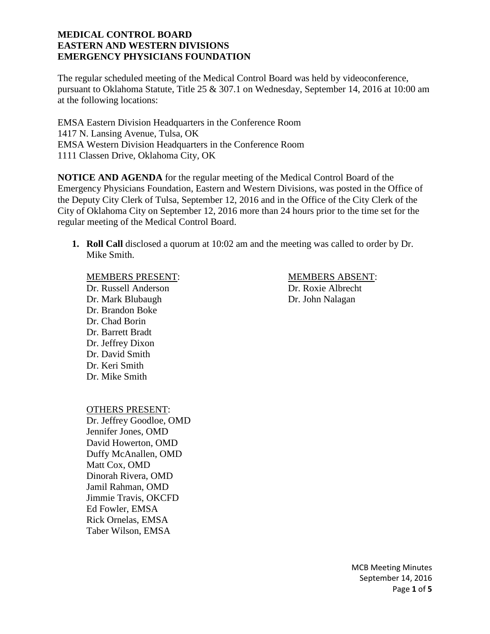The regular scheduled meeting of the Medical Control Board was held by videoconference, pursuant to Oklahoma Statute, Title 25 & 307.1 on Wednesday, September 14, 2016 at 10:00 am at the following locations:

EMSA Eastern Division Headquarters in the Conference Room 1417 N. Lansing Avenue, Tulsa, OK EMSA Western Division Headquarters in the Conference Room 1111 Classen Drive, Oklahoma City, OK

**NOTICE AND AGENDA** for the regular meeting of the Medical Control Board of the Emergency Physicians Foundation, Eastern and Western Divisions, was posted in the Office of the Deputy City Clerk of Tulsa, September 12, 2016 and in the Office of the City Clerk of the City of Oklahoma City on September 12, 2016 more than 24 hours prior to the time set for the regular meeting of the Medical Control Board.

**1. Roll Call** disclosed a quorum at 10:02 am and the meeting was called to order by Dr. Mike Smith.

Dr. Russell Anderson Dr. Roxie Albrecht Dr. Mark Blubaugh Dr. John Nalagan Dr. Brandon Boke Dr. Chad Borin Dr. Barrett Bradt Dr. Jeffrey Dixon Dr. David Smith Dr. Keri Smith Dr. Mike Smith

MEMBERS PRESENT: MEMBERS ABSENT:

OTHERS PRESENT:

Dr. Jeffrey Goodloe, OMD Jennifer Jones, OMD David Howerton, OMD Duffy McAnallen, OMD Matt Cox, OMD Dinorah Rivera, OMD Jamil Rahman, OMD Jimmie Travis, OKCFD Ed Fowler, EMSA Rick Ornelas, EMSA Taber Wilson, EMSA

> MCB Meeting Minutes September 14, 2016 Page **1** of **5**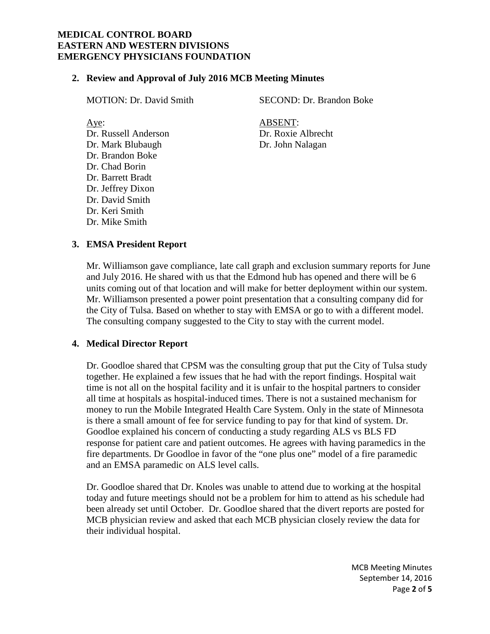#### **2. Review and Approval of July 2016 MCB Meeting Minutes**

Dr. Russell Anderson Dr. Roxie Albrecht Dr. Mark Blubaugh Dr. John Nalagan Dr. Brandon Boke Dr. Chad Borin Dr. Barrett Bradt Dr. Jeffrey Dixon Dr. David Smith Dr. Keri Smith Dr. Mike Smith

MOTION: Dr. David Smith SECOND: Dr. Brandon Boke

Aye: ABSENT:

## **3. EMSA President Report**

Mr. Williamson gave compliance, late call graph and exclusion summary reports for June and July 2016. He shared with us that the Edmond hub has opened and there will be 6 units coming out of that location and will make for better deployment within our system. Mr. Williamson presented a power point presentation that a consulting company did for the City of Tulsa. Based on whether to stay with EMSA or go to with a different model. The consulting company suggested to the City to stay with the current model.

#### **4. Medical Director Report**

Dr. Goodloe shared that CPSM was the consulting group that put the City of Tulsa study together. He explained a few issues that he had with the report findings. Hospital wait time is not all on the hospital facility and it is unfair to the hospital partners to consider all time at hospitals as hospital-induced times. There is not a sustained mechanism for money to run the Mobile Integrated Health Care System. Only in the state of Minnesota is there a small amount of fee for service funding to pay for that kind of system. Dr. Goodloe explained his concern of conducting a study regarding ALS vs BLS FD response for patient care and patient outcomes. He agrees with having paramedics in the fire departments. Dr Goodloe in favor of the "one plus one" model of a fire paramedic and an EMSA paramedic on ALS level calls.

Dr. Goodloe shared that Dr. Knoles was unable to attend due to working at the hospital today and future meetings should not be a problem for him to attend as his schedule had been already set until October. Dr. Goodloe shared that the divert reports are posted for MCB physician review and asked that each MCB physician closely review the data for their individual hospital.

> MCB Meeting Minutes September 14, 2016 Page **2** of **5**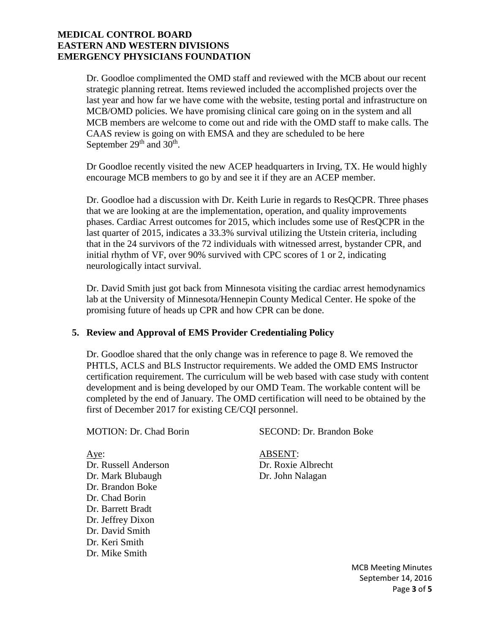Dr. Goodloe complimented the OMD staff and reviewed with the MCB about our recent strategic planning retreat. Items reviewed included the accomplished projects over the last year and how far we have come with the website, testing portal and infrastructure on MCB/OMD policies. We have promising clinical care going on in the system and all MCB members are welcome to come out and ride with the OMD staff to make calls. The CAAS review is going on with EMSA and they are scheduled to be here September 29<sup>th</sup> and 30<sup>th</sup>.

Dr Goodloe recently visited the new ACEP headquarters in Irving, TX. He would highly encourage MCB members to go by and see it if they are an ACEP member.

Dr. Goodloe had a discussion with Dr. Keith Lurie in regards to ResQCPR. Three phases that we are looking at are the implementation, operation, and quality improvements phases. Cardiac Arrest outcomes for 2015, which includes some use of ResQCPR in the last quarter of 2015, indicates a 33.3% survival utilizing the Utstein criteria, including that in the 24 survivors of the 72 individuals with witnessed arrest, bystander CPR, and initial rhythm of VF, over 90% survived with CPC scores of 1 or 2, indicating neurologically intact survival.

Dr. David Smith just got back from Minnesota visiting the cardiac arrest hemodynamics lab at the University of Minnesota/Hennepin County Medical Center. He spoke of the promising future of heads up CPR and how CPR can be done.

# **5. Review and Approval of EMS Provider Credentialing Policy**

Dr. Goodloe shared that the only change was in reference to page 8. We removed the PHTLS, ACLS and BLS Instructor requirements. We added the OMD EMS Instructor certification requirement. The curriculum will be web based with case study with content development and is being developed by our OMD Team. The workable content will be completed by the end of January. The OMD certification will need to be obtained by the first of December 2017 for existing CE/CQI personnel.

MOTION: Dr. Chad Borin SECOND: Dr. Brandon Boke

Dr. Russell Anderson Dr. Roxie Albrecht Dr. Mark Blubaugh Dr. John Nalagan Dr. Brandon Boke Dr. Chad Borin Dr. Barrett Bradt Dr. Jeffrey Dixon Dr. David Smith Dr. Keri Smith Dr. Mike Smith

# Aye: ABSENT:

MCB Meeting Minutes September 14, 2016 Page **3** of **5**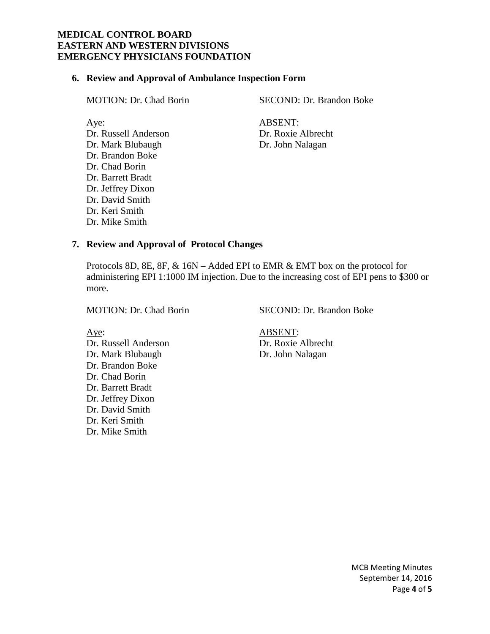#### **6. Review and Approval of Ambulance Inspection Form**

Dr. Russell Anderson Dr. Roxie Albrecht Dr. Mark Blubaugh Dr. John Nalagan Dr. Brandon Boke Dr. Chad Borin Dr. Barrett Bradt Dr. Jeffrey Dixon Dr. David Smith Dr. Keri Smith Dr. Mike Smith

MOTION: Dr. Chad Borin SECOND: Dr. Brandon Boke

Aye: ABSENT:

#### **7. Review and Approval of Protocol Changes**

Protocols 8D, 8E, 8F, & 16N – Added EPI to EMR & EMT box on the protocol for administering EPI 1:1000 IM injection. Due to the increasing cost of EPI pens to \$300 or more.

MOTION: Dr. Chad Borin SECOND: Dr. Brandon Boke

Dr. Russell Anderson Dr. Roxie Albrecht Dr. Mark Blubaugh Dr. John Nalagan Dr. Brandon Boke Dr. Chad Borin Dr. Barrett Bradt Dr. Jeffrey Dixon Dr. David Smith Dr. Keri Smith Dr. Mike Smith

Aye: ABSENT:

MCB Meeting Minutes September 14, 2016 Page **4** of **5**